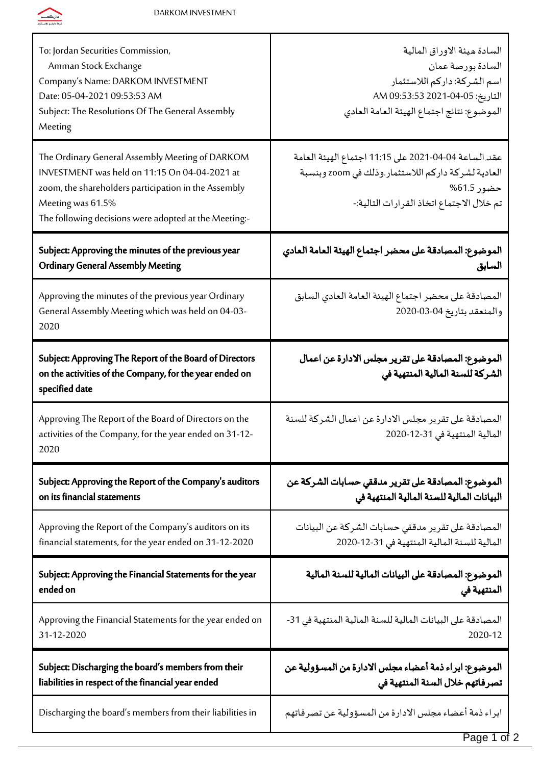

| To: Jordan Securities Commission,<br>Amman Stock Exchange<br>Company's Name: DARKOM INVESTMENT<br>Date: 05-04-2021 09:53:53 AM<br>Subject: The Resolutions Of The General Assembly<br>Meeting                                          | السادة ميئة الاوراق المالية<br>السادة بورصة عمان<br>اسم الشركة: داركم اللاستثمار<br>التاريخ: 05-04-2021 09:53:53 AM<br>الموضوع: نتائج اجتماع الهيئة العامة العادي     |
|----------------------------------------------------------------------------------------------------------------------------------------------------------------------------------------------------------------------------------------|-----------------------------------------------------------------------------------------------------------------------------------------------------------------------|
| The Ordinary General Assembly Meeting of DARKOM<br>INVESTMENT was held on 11:15 On 04-04-2021 at<br>zoom, the shareholders participation in the Assembly<br>Meeting was 61.5%<br>The following decisions were adopted at the Meeting:- | عقد الساعة 04-04-2021 على 11:15 اجتماع الهيئة العامة<br>العادية لشركة داركم اللاستثمار وذلك في zoom وبنسبة<br>حضور 61.5%<br>تم خلال الاجتماع اتخاذ القرارات التالية:- |
| Subject: Approving the minutes of the previous year                                                                                                                                                                                    | الموضوع: المصادقة على محضر اجتماع الهيئة العامة العادي                                                                                                                |
| <b>Ordinary General Assembly Meeting</b>                                                                                                                                                                                               | السابق                                                                                                                                                                |
| Approving the minutes of the previous year Ordinary<br>General Assembly Meeting which was held on 04-03-<br>2020                                                                                                                       | المصادقة على محضر اجتماع الهيئة العامة العادي السابق<br>والمنعقد بتاريخ 04-03-2020                                                                                    |
| Subject: Approving The Report of the Board of Directors<br>on the activities of the Company, for the year ended on<br>specified date                                                                                                   | الموضوع: المصادقة على تقرير مجلس الادارة عن اعمال<br>الشركة للسنة المالية المنتهية في                                                                                 |
| Approving The Report of the Board of Directors on the<br>activities of the Company, for the year ended on 31-12-<br>2020                                                                                                               | المصادقة على تقرير مجلس الادارة عن اعمال الشركة للسنة<br>المالية المنتهية في 31-12-2020                                                                               |
| Subject: Approving the Report of the Company's auditors                                                                                                                                                                                | الموضوع: المصادقة على تقرير مدققي حسابات الشركة عن                                                                                                                    |
| on its financial statements                                                                                                                                                                                                            | البيانات المالية للسنة المالية المنتهية في                                                                                                                            |
| Approving the Report of the Company's auditors on its                                                                                                                                                                                  | المصادقة على تقرير مدققي حسابات الشركة عن البيانات                                                                                                                    |
| financial statements, for the year ended on 31-12-2020                                                                                                                                                                                 | المالية للسنة المالية المنتهية في 31-12-2020                                                                                                                          |
| Subject: Approving the Financial Statements for the year                                                                                                                                                                               | الموضوع: المصادقة على البيانات المالية للسنة المالية                                                                                                                  |
| ended on                                                                                                                                                                                                                               | المنتهية في                                                                                                                                                           |
| Approving the Financial Statements for the year ended on                                                                                                                                                                               | المصادقة على البيانات المالية للسنة المالية المنتهية في 31-                                                                                                           |
| 31-12-2020                                                                                                                                                                                                                             | 2020-12                                                                                                                                                               |
| Subject: Discharging the board's members from their                                                                                                                                                                                    | الموضوع: ابراء ذمة أعضاء مجلس الادارة من المسؤولية عن                                                                                                                 |
| liabilities in respect of the financial year ended                                                                                                                                                                                     | تصرفاتهم خلال السنة المنتهية في                                                                                                                                       |
| Discharging the board's members from their liabilities in                                                                                                                                                                              | ابراء ذمة أعضاء مجلس الادارة من المسؤولية عن تصرفاتهم                                                                                                                 |